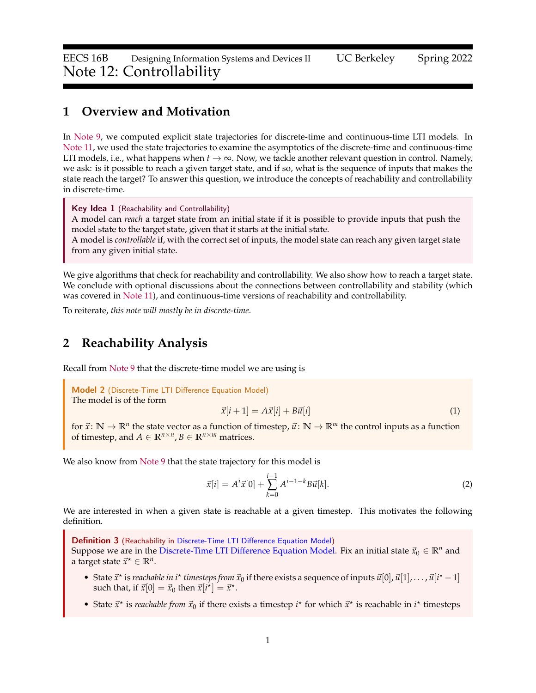### **1 Overview and Motivation**

In [Note 9,](https://www.eecs16b.org/notes/sp22/note09.pdf) we computed explicit state trajectories for discrete-time and continuous-time LTI models. In [Note 11,](https://www.eecs16b.org/notes/sp22/note11.pdf) we used the state trajectories to examine the asymptotics of the discrete-time and continuous-time LTI models, i.e., what happens when  $t \to \infty$ . Now, we tackle another relevant question in control. Namely, we ask: is it possible to reach a given target state, and if so, what is the sequence of inputs that makes the state reach the target? To answer this question, we introduce the concepts of reachability and controllability in discrete-time.

Key Idea 1 (Reachability and Controllability)

A model can *reach* a target state from an initial state if it is possible to provide inputs that push the model state to the target state, given that it starts at the initial state.

A model is *controllable* if, with the correct set of inputs, the model state can reach any given target state from any given initial state.

We give algorithms that check for reachability and controllability. We also show how to reach a target state. We conclude with optional discussions about the connections between controllability and stability (which was covered in [Note 11\)](https://www.eecs16b.org/notes/sp22/note11.pdf), and continuous-time versions of reachability and controllability.

To reiterate, *this note will mostly be in discrete-time*.

### **2 Reachability Analysis**

Recall from [Note 9](https://www.eecs16b.org/notes/sp22/note09.pdf) that the discrete-time model we are using is

<span id="page-0-0"></span>Model 2 (Discrete-Time LTI Difference Equation Model) The model is of the form

$$
\vec{x}[i+1] = A\vec{x}[i] + B\vec{u}[i] \tag{1}
$$

for  $\vec{x}$ :  $\mathbb{N} \to \mathbb{R}^n$  the state vector as a function of timestep,  $\vec{u}$ :  $\mathbb{N} \to \mathbb{R}^m$  the control inputs as a function of timestep, and  $A \in \mathbb{R}^{n \times n}$ ,  $B \in \mathbb{R}^{n \times m}$  matrices.

We also know from [Note 9](https://www.eecs16b.org/notes/sp22/note09.pdf) that the state trajectory for this model is

$$
\vec{x}[i] = A^i \vec{x}[0] + \sum_{k=0}^{i-1} A^{i-1-k} B \vec{u}[k].
$$
\n(2)

We are interested in when a given state is reachable at a given timestep. This motivates the following definition.

<span id="page-0-1"></span>**Definition 3** (Reachability in [Discrete-Time LTI Difference Equation Model\)](#page-0-0)

Suppose we are in the [Discrete-Time LTI Difference Equation Model.](#page-0-0) Fix an initial state  $\vec{x}_0 \in \mathbb{R}^n$  and a target state  $\vec{x}^* \in \mathbb{R}^n$ .

- State  $\vec{x}^*$  is *reachable in i*<sup>\*</sup> *timesteps from*  $\vec{x}_0$  if there exists a sequence of inputs  $\vec{u}[0], \vec{u}[1], \ldots, \vec{u}[i^*-1]$ such that, if  $\vec{x}[0] = \vec{x}_0$  then  $\vec{x}[i^{\star}] = \vec{x}^{\star}$ .
- State  $\vec{x}^*$  is *reachable from*  $\vec{x}_0$  if there exists a timestep  $i^*$  for which  $\vec{x}^*$  is reachable in  $i^*$  timesteps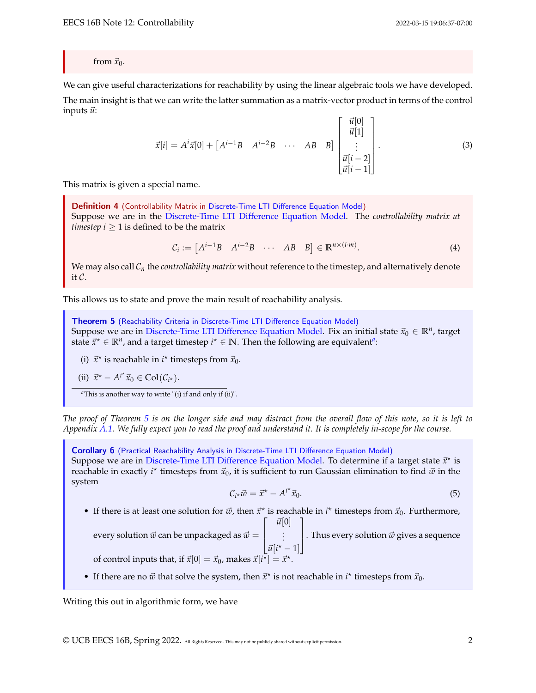from  $\vec{x}_0$ .

We can give useful characterizations for reachability by using the linear algebraic tools we have developed. The main insight is that we can write the latter summation as a matrix-vector product in terms of the control inputs  $\vec{u}$ :

$$
\vec{x}[i] = A^{i}\vec{x}[0] + \begin{bmatrix} A^{i-1}B & A^{i-2}B & \cdots & AB & B \end{bmatrix} \begin{bmatrix} \vec{u}[0] \\ \vec{u}[1] \\ \vdots \\ \vec{u}[i-2] \\ \vec{u}[i-1] \end{bmatrix} . \tag{3}
$$

This matrix is given a special name.

Definition 4 (Controllability Matrix in [Discrete-Time LTI Difference Equation Model\)](#page-0-0) Suppose we are in the [Discrete-Time LTI Difference Equation Model.](#page-0-0) The *controllability matrix at timestep*  $i \geq 1$  is defined to be the matrix

$$
C_i := [A^{i-1}B \quad A^{i-2}B \quad \cdots \quad AB \quad B] \in \mathbb{R}^{n \times (i \cdot m)}.
$$
 (4)

We may also call  $C_n$  the *controllability matrix* without reference to the timestep, and alternatively denote it C.

This allows us to state and prove the main result of reachability analysis.

<span id="page-1-1"></span>Theorem 5 (Reachability Criteria in [Discrete-Time LTI Difference Equation Model\)](#page-0-0) Suppose we are in [Discrete-Time LTI Difference Equation Model.](#page-0-0) Fix an initial state  $\vec{x}_0 \in \mathbb{R}^n$ , target st[a](#page-1-0)te  $\vec{x}^* \in \mathbb{R}^n$ , and a target timestep  $i^* \in \mathbb{N}$ . Then the following are equivalent<sup>*a*</sup>:

(i)  $\vec{x}^*$  is reachable in  $i^*$  timesteps from  $\vec{x}_0$ .

(ii) 
$$
\vec{x}^* - A^{i*} \vec{x}_0 \in \text{Col}(\mathcal{C}_{i^*}).
$$

<span id="page-1-0"></span>*<sup>a</sup>*This is another way to write "(i) if and only if (ii)".

*The proof of Theorem [5](#page-1-1) is on the longer side and may distract from the overall flow of this note, so it is left to Appendix [A.1.](#page-10-0) We fully expect you to read the proof and understand it. It is completely in-scope for the course.*

Corollary 6 (Practical Reachability Analysis in [Discrete-Time LTI Difference Equation Model\)](#page-0-0) Suppose we are in [Discrete-Time LTI Difference Equation Model.](#page-0-0) To determine if a target state  $\vec{x}^*$  is reachable in exactly *i*<sup>\*</sup> timesteps from  $\vec{x}_0$ , it is sufficient to run Gaussian elimination to find  $\vec{w}$  in the system

$$
\mathcal{C}_{i^*}\vec{w} = \vec{x}^* - A^{i^*}\vec{x}_0. \tag{5}
$$

• If there is at least one solution for  $\vec{w}$ , then  $\vec{x}^*$  is reachable in  $i^*$  timesteps from  $\vec{x}_0$ . Furthermore,  $\lceil$  $\vec{u}[0]$ 1

every solution  $\vec{w}$  can be unpackaged as  $\vec{w} = \begin{bmatrix} 1 & 0 \\ 0 & 1 \end{bmatrix}$  $\begin{bmatrix} \vdots \\ \vdots \\ \vdots \end{bmatrix}$ . Thus every solution  $\vec{w}$  gives a sequence  $\vec{u}[i^* - 1]$ of control inputs that, if  $\vec{x}[0] = \vec{x}_0$ , makes  $\vec{x}[i^{\bar{x}}] = \vec{x}^{\star}$ .

• If there are no  $\vec{w}$  that solve the system, then  $\vec{x}^*$  is not reachable in  $i^*$  timesteps from  $\vec{x}_0$ .

Writing this out in algorithmic form, we have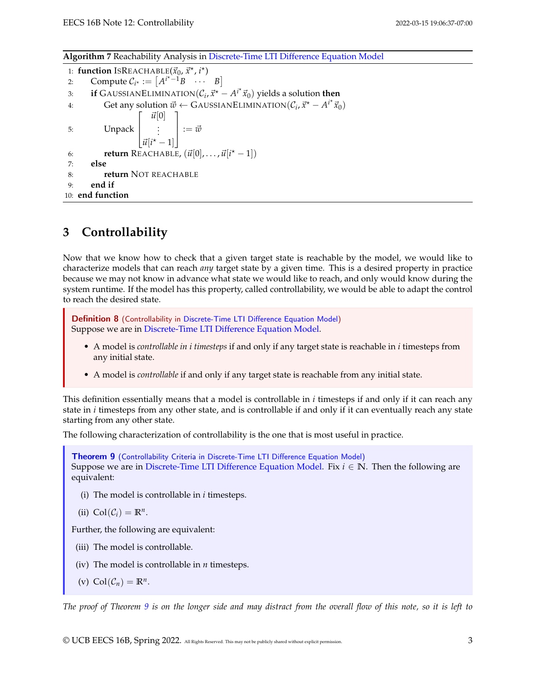**Algorithm 7** Reachability Analysis in [Discrete-Time LTI Difference Equation Model](#page-0-0)

1: **function** ISREACHABLE( $\vec{x}_0$ ,  $\vec{x}^{\star}$ ,  $i^{\star}$ ) 2: Compute  $C_{i^*} := [A^{i^*-1}B \cdots B]$ 3: **if** GAUSSIANELIMINATION $(C_i, \vec{x}^* - A^{i^*}\vec{x}_0)$  yields a solution then 4: Get any solution  $\vec{w} \leftarrow$  GAUSSIANELIMINATION $(\mathcal{C}_i, \vec{x}^* - A^{i^*}\vec{x}_0)$ 5: Unpack  $\lceil$  $\overline{1}$  $\left[\vec{u}[i^* - 1]\right]$  $\vec{u}[0]$ . . . 1  $\overline{1}$  $:= \vec{w}$ 6: **return** REACHABLE,  $(\vec{u}[0], \ldots, \vec{u}[i^* - 1])$ 7: **else** 8: **return** NOT REACHABLE 9: **end if** 10: **end function**

## **3 Controllability**

Now that we know how to check that a given target state is reachable by the model, we would like to characterize models that can reach *any* target state by a given time. This is a desired property in practice because we may not know in advance what state we would like to reach, and only would know during the system runtime. If the model has this property, called controllability, we would be able to adapt the control to reach the desired state.

<span id="page-2-1"></span>Definition 8 (Controllability in [Discrete-Time LTI Difference Equation Model\)](#page-0-0) Suppose we are in [Discrete-Time LTI Difference Equation Model.](#page-0-0)

- A model is *controllable in i timesteps* if and only if any target state is reachable in *i* timesteps from any initial state.
- A model is *controllable* if and only if any target state is reachable from any initial state.

This definition essentially means that a model is controllable in *i* timesteps if and only if it can reach any state in *i* timesteps from any other state, and is controllable if and only if it can eventually reach any state starting from any other state.

The following characterization of controllability is the one that is most useful in practice.

<span id="page-2-0"></span>Theorem 9 (Controllability Criteria in [Discrete-Time LTI Difference Equation Model\)](#page-0-0) Suppose we are in [Discrete-Time LTI Difference Equation Model.](#page-0-0) Fix  $i \in \mathbb{N}$ . Then the following are equivalent:

- (i) The model is controllable in *i* timesteps.
- (ii)  $\text{Col}(\mathcal{C}_i) = \mathbb{R}^n$ .

Further, the following are equivalent:

- (iii) The model is controllable.
- (iv) The model is controllable in *n* timesteps.
- (v)  $\text{Col}(\mathcal{C}_n) = \mathbb{R}^n$ .

*The proof of Theorem [9](#page-2-0) is on the longer side and may distract from the overall flow of this note, so it is left to*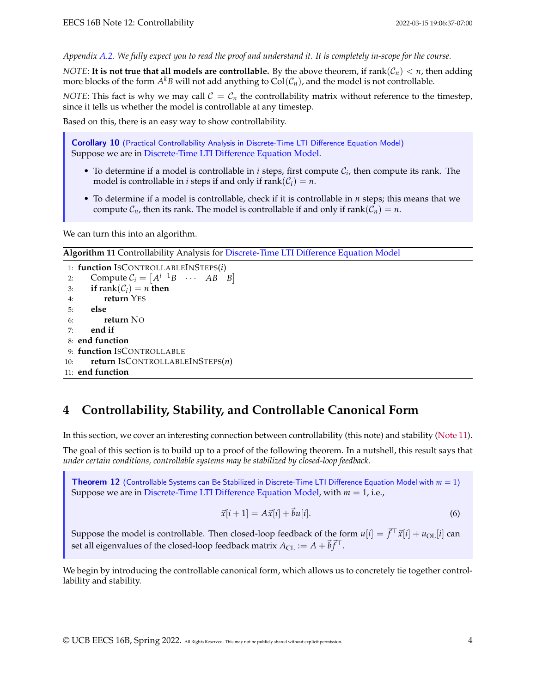*Appendix [A.2.](#page-10-1) We fully expect you to read the proof and understand it. It is completely in-scope for the course.*

*NOTE*: **It is not true that all models are controllable.** By the above theorem, if  $rank(\mathcal{C}_n) < n$ , then adding more blocks of the form  $A^k B$  will not add anything to  $\text{Col}(\mathcal{C}_n)$ , and the model is not controllable.

*NOTE*: This fact is why we may call  $C = C_n$  the controllability matrix without reference to the timestep, since it tells us whether the model is controllable at any timestep.

Based on this, there is an easy way to show controllability.

Corollary 10 (Practical Controllability Analysis in [Discrete-Time LTI Difference Equation Model\)](#page-0-0) Suppose we are in [Discrete-Time LTI Difference Equation Model.](#page-0-0)

- To determine if a model is controllable in  $i$  steps, first compute  $C_i$ , then compute its rank. The model is controllable in *i* steps if and only if  $\text{rank}(\mathcal{C}_i) = n$ .
- To determine if a model is controllable, check if it is controllable in *n* steps; this means that we compute  $C_n$ , then its rank. The model is controllable if and only if rank $(C_n) = n$ .

We can turn this into an algorithm.

**Algorithm 11** Controllability Analysis for [Discrete-Time LTI Difference Equation Model](#page-0-0)

```
1: function ISCONTROLLABLEINSTEPS(i)
 2: Compute C_i = \begin{bmatrix} A^{i-1}B & \cdots & AB & B \end{bmatrix}3: if rank(C_i) = n then
4: return YES
5: else
6: return NO
7: end if
8: end function
9: function ISCONTROLLABLE
10: return ISCONTROLLABLEINSTEPS(n)
11: end function
```
# **4 Controllability, Stability, and Controllable Canonical Form**

In this section, we cover an interesting connection between controllability (this note) and stability [\(Note 11\)](https://www.eecs16b.org/notes/sp22/note11.pdf).

The goal of this section is to build up to a proof of the following theorem. In a nutshell, this result says that *under certain conditions, controllable systems may be stabilized by closed-loop feedback.*

<span id="page-3-0"></span>Theorem 12 (Controllable Systems can Be Stabilized in [Discrete-Time LTI Difference Equation Model](#page-0-0) with *m* = 1) Suppose we are in [Discrete-Time LTI Difference Equation Model,](#page-0-0) with *m* = 1, i.e.,

$$
\vec{x}[i+1] = A\vec{x}[i] + \vec{b}u[i].\tag{6}
$$

Suppose the model is controllable. Then closed-loop feedback of the form  $u[i]=\vec{f}^\top\vec{x}[i]+u_{\rm OL}[i]$  can set all eigenvalues of the closed-loop feedback matrix  $A_{\text{CL}} := A + \vec{b} \vec{f}^{\top}$ .

We begin by introducing the controllable canonical form, which allows us to concretely tie together controllability and stability.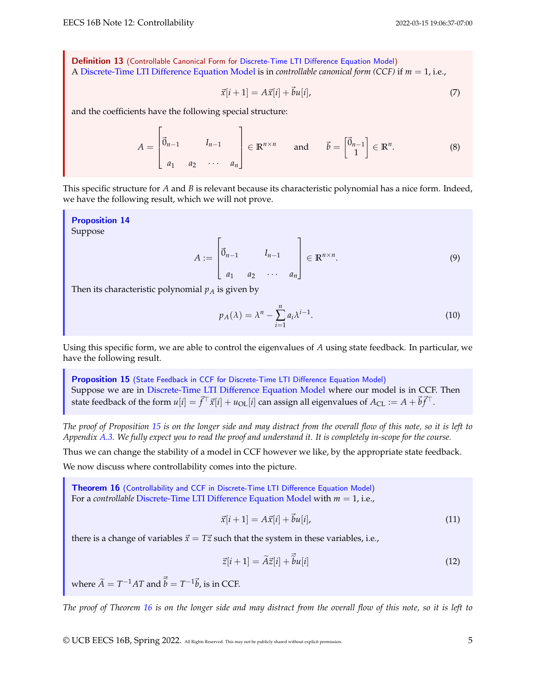Definition 13 (Controllable Canonical Form for [Discrete-Time LTI Difference Equation Model\)](#page-0-0) A [Discrete-Time LTI Difference Equation Model](#page-0-0) is in *controllable canonical form (CCF)* if *m* = 1, i.e.,

$$
\vec{x}[i+1] = A\vec{x}[i] + \vec{b}u[i],\tag{7}
$$

and the coefficients have the following special structure:

$$
A = \begin{bmatrix} \vec{0}_{n-1} & I_{n-1} \\ a_1 & a_2 & \cdots & a_n \end{bmatrix} \in \mathbb{R}^{n \times n} \quad \text{and} \quad \vec{b} = \begin{bmatrix} \vec{0}_{n-1} \\ 1 \end{bmatrix} \in \mathbb{R}^n.
$$
 (8)

This specific structure for *A* and *B* is relevant because its characteristic polynomial has a nice form. Indeed, we have the following result, which we will not prove.

<span id="page-4-2"></span>Proposition 14 Suppose

$$
A := \begin{bmatrix} \vec{0}_{n-1} & I_{n-1} \\ a_1 & a_2 & \cdots & a_n \end{bmatrix} \in \mathbb{R}^{n \times n}.
$$
\n<sup>(9)</sup>

Then its characteristic polynomial  $p_A$  is given by

$$
p_A(\lambda) = \lambda^n - \sum_{i=1}^n a_i \lambda^{i-1}.
$$
\n(10)

Using this specific form, we are able to control the eigenvalues of *A* using state feedback. In particular, we have the following result.

<span id="page-4-0"></span>Proposition 15 (State Feedback in CCF for [Discrete-Time LTI Difference Equation Model\)](#page-0-0) Suppose we are in [Discrete-Time LTI Difference Equation Model](#page-0-0) where our model is in CCF. Then state feedback of the form  $u[i]=\vec{f}^\top\vec{x}[i]+u_{\text{OL}}[i]$  can assign all eigenvalues of  $A_{\text{CL}}:=A+\vec{b}\vec{f}^\top.$ 

*The proof of Proposition [15](#page-4-0) is on the longer side and may distract from the overall flow of this note, so it is left to Appendix [A.3.](#page-13-0) We fully expect you to read the proof and understand it. It is completely in-scope for the course.*

Thus we can change the stability of a model in CCF however we like, by the appropriate state feedback.

We now discuss where controllability comes into the picture.

<span id="page-4-1"></span>Theorem 16 (Controllability and CCF in [Discrete-Time LTI Difference Equation Model\)](#page-0-0) For a *controllable* [Discrete-Time LTI Difference Equation Model](#page-0-0) with *m* = 1, i.e.,

$$
\vec{x}[i+1] = A\vec{x}[i] + \vec{b}u[i],\tag{11}
$$

there is a change of variables  $\vec{x} = T\vec{z}$  such that the system in these variables, i.e.,

$$
\vec{z}[i+1] = \widetilde{A}\vec{z}[i] + \vec{\tilde{b}}u[i] \tag{12}
$$

where  $\widetilde{A} = T^{-1}AT$  and  $\vec{\widetilde{b}} = T^{-1}\vec{b}$ , is in CCF.

*The proof of Theorem [16](#page-4-1) is on the longer side and may distract from the overall flow of this note, so it is left to*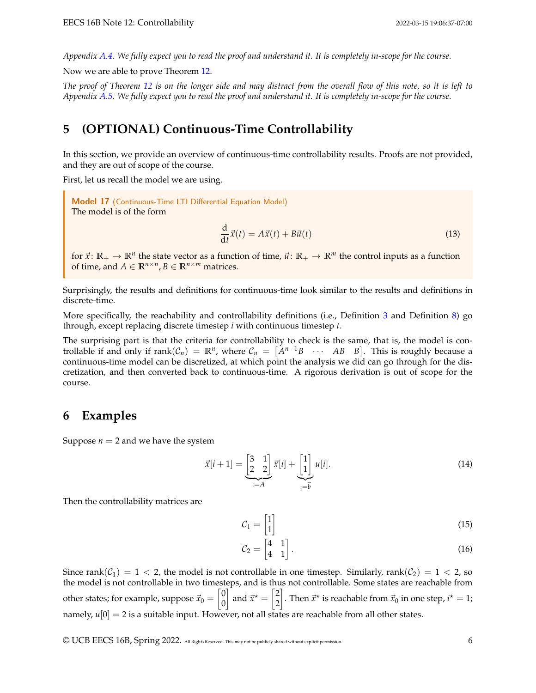*Appendix [A.4.](#page-13-1) We fully expect you to read the proof and understand it. It is completely in-scope for the course.*

Now we are able to prove Theorem [12.](#page-3-0)

*The proof of Theorem [12](#page-3-0) is on the longer side and may distract from the overall flow of this note, so it is left to Appendix [A.5.](#page-15-0) We fully expect you to read the proof and understand it. It is completely in-scope for the course.*

## **5 (OPTIONAL) Continuous-Time Controllability**

In this section, we provide an overview of continuous-time controllability results. Proofs are not provided, and they are out of scope of the course.

First, let us recall the model we are using.

Model 17 (Continuous-Time LTI Differential Equation Model) The model is of the form

$$
\frac{\mathrm{d}}{\mathrm{d}t}\vec{x}(t) = A\vec{x}(t) + B\vec{u}(t) \tag{13}
$$

for  $\vec{x}$ :  $\mathbb{R}_+ \to \mathbb{R}^n$  the state vector as a function of time,  $\vec{u}$ :  $\mathbb{R}_+ \to \mathbb{R}^m$  the control inputs as a function of time, and  $A \in \mathbb{R}^{n \times n}$ ,  $B \in \mathbb{R}^{n \times m}$  matrices.

Surprisingly, the results and definitions for continuous-time look similar to the results and definitions in discrete-time.

More specifically, the reachability and controllability definitions (i.e., Definition [3](#page-0-1) and Definition [8\)](#page-2-1) go through, except replacing discrete timestep *i* with continuous timestep *t*.

The surprising part is that the criteria for controllability to check is the same, that is, the model is controllable if and only if  $\text{rank}(\mathcal{C}_n) = \mathbb{R}^n$ , where  $\mathcal{C}_n = [A^{n-1}B \cdots AB \ B]$ . This is roughly because a continuous-time model can be discretized, at which point the analysis we did can go through for the discretization, and then converted back to continuous-time. A rigorous derivation is out of scope for the course.

### **6 Examples**

Suppose  $n = 2$  and we have the system

$$
\vec{x}[i+1] = \underbrace{\begin{bmatrix} 3 & 1 \\ 2 & 2 \end{bmatrix}}_{:=A} \vec{x}[i] + \underbrace{\begin{bmatrix} 1 \\ 1 \end{bmatrix}}_{:=\vec{b}} u[i].
$$
\n(14)

Then the controllability matrices are

$$
\mathcal{C}_1 = \begin{bmatrix} 1 \\ 1 \end{bmatrix} \tag{15}
$$

$$
\mathcal{C}_2 = \begin{bmatrix} 4 & 1 \\ 4 & 1 \end{bmatrix} . \tag{16}
$$

Since rank $(\mathcal{C}_1) = 1 < 2$ , the model is not controllable in one timestep. Similarly, rank $(\mathcal{C}_2) = 1 < 2$ , so the model is not controllable in two timesteps, and is thus not controllable. Some states are reachable from other states; for example, suppose  $\vec{x}_0 = \begin{bmatrix} 0 & 0 \\ 0 & 0 \end{bmatrix}$ 0 and  $\vec{x}^* = \begin{bmatrix} 2 \\ 2 \end{bmatrix}$ 2 . Then  $\vec{x}^{\star}$  is reachable from  $\vec{x}_0$  in one step,  $i^{\star} = 1$ ; namely,  $u[0] = 2$  is a suitable input. However, not all states are reachable from all other states.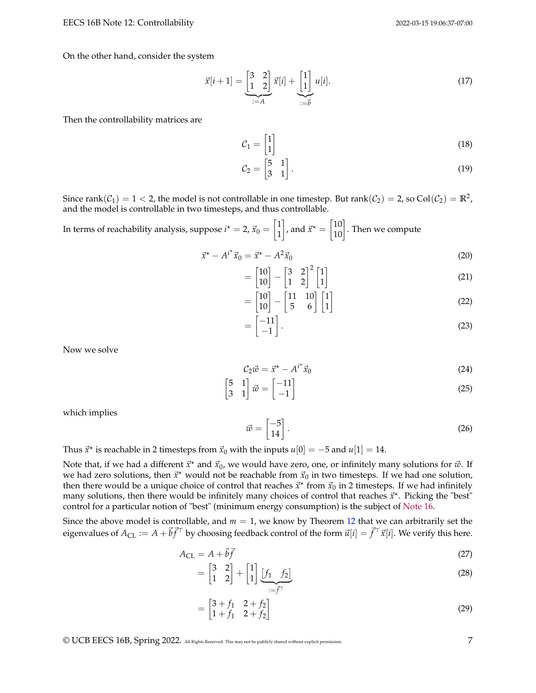On the other hand, consider the system

$$
\vec{x}[i+1] = \underbrace{\begin{bmatrix} 3 & 2 \\ 1 & 2 \end{bmatrix}}_{:=A} \vec{x}[i] + \underbrace{\begin{bmatrix} 1 \\ 1 \end{bmatrix}}_{:=\vec{b}} u[i].
$$
\n(17)

Then the controllability matrices are

$$
\mathcal{C}_1 = \begin{bmatrix} 1 \\ 1 \end{bmatrix} \tag{18}
$$

$$
\mathcal{C}_2 = \begin{bmatrix} 5 & 1 \\ 3 & 1 \end{bmatrix} . \tag{19}
$$

Since  $\text{rank}(\mathcal{C}_1)=1 < 2$ , the model is not controllable in one timestep. But  $\text{rank}(\mathcal{C}_2)=2$ , so  $\text{Col}(\mathcal{C}_2)=\mathbb{R}^2$ , and the model is controllable in two timesteps, and thus controllable.

In terms of reachability analysis, suppose 
$$
i^* = 2
$$
,  $\vec{x}_0 = \begin{bmatrix} 1 \\ 1 \end{bmatrix}$ , and  $\vec{x}^* = \begin{bmatrix} 10 \\ 10 \end{bmatrix}$ . Then we compute

$$
\vec{x}^* - A^{i^*}\vec{x}_0 = \vec{x}^* - A^2\vec{x}_0
$$
\n(20)

$$
= \begin{bmatrix} 10 \\ 10 \end{bmatrix} - \begin{bmatrix} 3 & 2 \\ 1 & 2 \end{bmatrix}^2 \begin{bmatrix} 1 \\ 1 \end{bmatrix}
$$
 (21)

$$
= \begin{bmatrix} 10 \\ 10 \end{bmatrix} - \begin{bmatrix} 11 & 10 \\ 5 & 6 \end{bmatrix} \begin{bmatrix} 1 \\ 1 \end{bmatrix}
$$
 (22)

$$
= \begin{bmatrix} -11 \\ -1 \end{bmatrix}.
$$
 (23)

Now we solve

$$
\mathcal{C}_2 \vec{w} = \vec{x}^* - A^{i^*} \vec{x}_0 \tag{24}
$$

$$
\begin{bmatrix} 5 & 1 \\ 3 & 1 \end{bmatrix} \vec{w} = \begin{bmatrix} -11 \\ -1 \end{bmatrix}
$$
 (25)

which implies

$$
\vec{w} = \begin{bmatrix} -5 \\ 14 \end{bmatrix} . \tag{26}
$$

Thus  $\vec{x}^*$  is reachable in 2 timesteps from  $\vec{x}_0$  with the inputs  $u[0] = -5$  and  $u[1] = 14$ .

Note that, if we had a different  $\vec{x}^*$  and  $\vec{x}_0$ , we would have zero, one, or infinitely many solutions for  $\vec{w}$ . If we had zero solutions, then  $\vec{x}^{\star}$  would not be reachable from  $\vec{x}_0$  in two timesteps. If we had one solution, then there would be a unique choice of control that reaches  $\vec{x}^*$  from  $\vec{x}_0$  in 2 timesteps. If we had infinitely many solutions, then there would be infinitely many choices of control that reaches  $\vec{x}^*$ . Picking the "best<sup>"</sup> control for a particular notion of "best" (minimum energy consumption) is the subject of [Note 16.](https://www.eecs16b.org/notes/sp22/note16.pdf)

Since the above model is controllable, and  $m = 1$ , we know by Theorem [12](#page-3-0) that we can arbitrarily set the eigenvalues of  $A_{\text{CL}} := A + \vec{b} \vec{f}^\top$  by choosing feedback control of the form  $\vec{u}[i] = \vec{f}^\top \vec{x}[i].$  We verify this here.

$$
A_{\rm CL} = A + \vec{b} \vec{f} \tag{27}
$$

$$
= \begin{bmatrix} 3 & 2 \\ 1 & 2 \end{bmatrix} + \begin{bmatrix} 1 \\ 1 \end{bmatrix} \underbrace{[f_1 \quad f_2]}_{:= \vec{f}^\top}
$$
 (28)

$$
= \begin{bmatrix} 3+f_1 & 2+f_2 \\ 1+f_1 & 2+f_2 \end{bmatrix}
$$
 (29)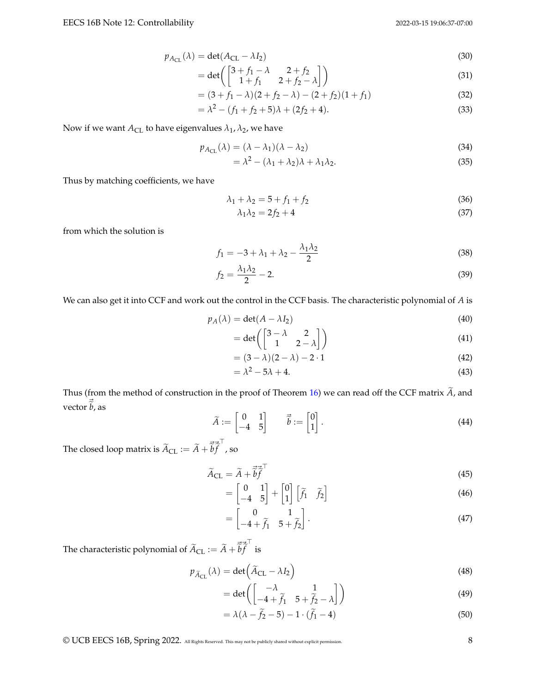$$
(30)
$$

$$
p_{A_{\text{CL}}}(\lambda) = \det(A_{\text{CL}} - \lambda I_2)
$$
\n
$$
= \det\begin{pmatrix} 3+f_1 - \lambda & 2+f_2 \\ 1+f_1 & 2+f_2 - \lambda \end{pmatrix}
$$
\n(30)

$$
= (3+f1 - \lambda)(2+f2 - \lambda) - (2+f2)(1+f1)
$$
\n(32)

$$
= \lambda^2 - (f_1 + f_2 + 5)\lambda + (2f_2 + 4). \tag{33}
$$

Now if we want  $A_{CL}$  to have eigenvalues  $\lambda_1$ ,  $\lambda_2$ , we have

$$
p_{A_{\text{CL}}}(\lambda) = (\lambda - \lambda_1)(\lambda - \lambda_2) \tag{34}
$$

$$
= \lambda^2 - (\lambda_1 + \lambda_2)\lambda + \lambda_1\lambda_2.
$$
 (35)

Thus by matching coefficients, we have

$$
\lambda_1 + \lambda_2 = 5 + f_1 + f_2 \tag{36}
$$

$$
\lambda_1 \lambda_2 = 2f_2 + 4 \tag{37}
$$

from which the solution is

$$
f_1 = -3 + \lambda_1 + \lambda_2 - \frac{\lambda_1 \lambda_2}{2}
$$
 (38)

$$
f_2 = \frac{\lambda_1 \lambda_2}{2} - 2. \tag{39}
$$

We can also get it into CCF and work out the control in the CCF basis. The characteristic polynomial of *A* is

$$
p_A(\lambda) = \det(A - \lambda I_2) \tag{40}
$$

$$
= \det \left( \begin{bmatrix} 3 - \lambda & 2 \\ 1 & 2 - \lambda \end{bmatrix} \right) \tag{41}
$$

$$
= (3 - \lambda)(2 - \lambda) - 2 \cdot 1 \tag{42}
$$

$$
= \lambda^2 - 5\lambda + 4. \tag{43}
$$

Thus (from the method of construction in the proof of Theorem [16\)](#page-4-1) we can read off the CCF matrix  $\widetilde{A}$ , and vector  $\vec{\tilde{b}}$ , as

$$
\widetilde{A} := \begin{bmatrix} 0 & 1 \\ -4 & 5 \end{bmatrix} \qquad \vec{\widetilde{b}} := \begin{bmatrix} 0 \\ 1 \end{bmatrix}.
$$
\n(44)

The closed loop matrix is  $\widetilde{A}_{\text{CL}} := \widetilde{A} + \overrightarrow{\widetilde{b}} \overrightarrow{\widetilde{f}}$ ⊤ , so

$$
\widetilde{A}_{\rm CL} = \widetilde{A} + \vec{\widetilde{b}} \vec{\widetilde{f}}^{\top}
$$
\n(45)

$$
= \begin{bmatrix} 0 & 1 \\ -4 & 5 \end{bmatrix} + \begin{bmatrix} 0 \\ 1 \end{bmatrix} \begin{bmatrix} \tilde{f}_1 & \tilde{f}_2 \end{bmatrix}
$$
 (46)

$$
= \begin{bmatrix} 0 & 1 \\ -4 + \tilde{f}_1 & 5 + \tilde{f}_2 \end{bmatrix} . \tag{47}
$$

The characteristic polynomial of  $\widetilde{A}_{CL} := \widetilde{A} + \overrightarrow{\widetilde{b}} \overrightarrow{\widetilde{f}}$ ⊤ is

$$
p_{\widetilde{A}_{\text{CL}}}(\lambda) = \det\left(\widetilde{A}_{\text{CL}} - \lambda I_2\right)
$$
\n(48)

$$
= \det \left( \begin{bmatrix} -\lambda & 1 \\ -4 + \tilde{f}_1 & 5 + \tilde{f}_2 - \lambda \end{bmatrix} \right) \tag{49}
$$

$$
= \lambda(\lambda - \tilde{f}_2 - 5) - 1 \cdot (\tilde{f}_1 - 4)
$$
\n(50)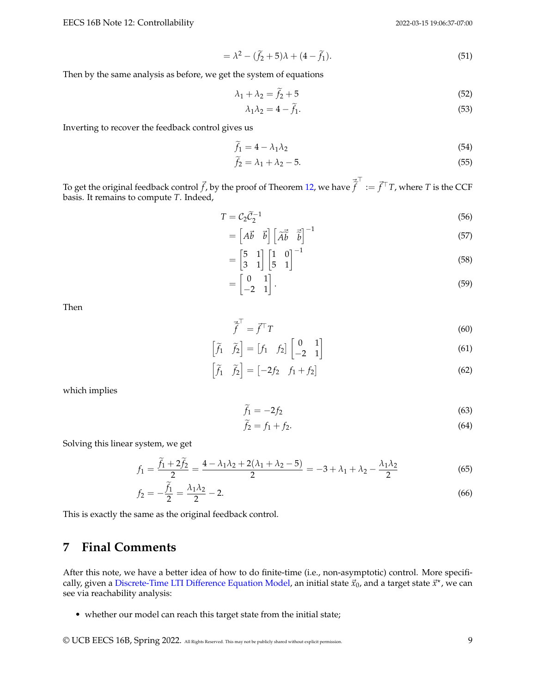$$
= \lambda^2 - (\tilde{f}_2 + 5)\lambda + (4 - \tilde{f}_1). \tag{51}
$$

Then by the same analysis as before, we get the system of equations

$$
\lambda_1 + \lambda_2 = \tilde{f}_2 + 5 \tag{52}
$$

$$
\lambda_1 \lambda_2 = 4 - f_1. \tag{53}
$$

Inverting to recover the feedback control gives us

$$
\widetilde{f}_1 = 4 - \lambda_1 \lambda_2 \tag{54}
$$

$$
\tilde{f}_2 = \lambda_1 + \lambda_2 - 5. \tag{55}
$$

To get the original feedback control  $\vec{f}$ , by the proof of Theorem [12,](#page-3-0) we have  $\vec{\vec{f}}$ ⊤ := ⃗*f* <sup>⊤</sup>*T*, where *T* is the CCF basis. It remains to compute *T*. Indeed,

$$
T = \mathcal{C}_2 \tilde{\mathcal{C}}_2^{-1} \tag{56}
$$

$$
= \begin{bmatrix} A\vec{b} & \vec{b} \end{bmatrix} \begin{bmatrix} \widetilde{A}\vec{b} & \widetilde{\vec{b}} \end{bmatrix}^{-1} \tag{57}
$$

$$
= \begin{bmatrix} 5 & 1 \\ 3 & 1 \end{bmatrix} \begin{bmatrix} 1 & 0 \\ 5 & 1 \end{bmatrix}^{-1}
$$
 (58)

$$
= \begin{bmatrix} 0 & 1 \\ -2 & 1 \end{bmatrix}.
$$
 (59)

Then

$$
\vec{\hat{f}}^{\top} = \vec{f}^{\top} T \tag{60}
$$

$$
\begin{bmatrix} \widetilde{f}_1 & \widetilde{f}_2 \end{bmatrix} = \begin{bmatrix} f_1 & f_2 \end{bmatrix} \begin{bmatrix} 0 & 1 \\ -2 & 1 \end{bmatrix}
$$
 (61)

$$
\left[\tilde{f}_1 \quad \tilde{f}_2\right] = \left[-2f_2 \quad f_1 + f_2\right] \tag{62}
$$

which implies

$$
\widetilde{f}_1 = -2f_2 \tag{63}
$$

$$
\widetilde{f}_2 = f_1 + f_2. \tag{64}
$$

Solving this linear system, we get

$$
f_1 = \frac{\widetilde{f}_1 + 2\widetilde{f}_2}{2} = \frac{4 - \lambda_1 \lambda_2 + 2(\lambda_1 + \lambda_2 - 5)}{2} = -3 + \lambda_1 + \lambda_2 - \frac{\lambda_1 \lambda_2}{2}
$$
(65)

$$
f_2 = -\frac{\tilde{f}_1}{2} = \frac{\lambda_1 \lambda_2}{2} - 2. \tag{66}
$$

This is exactly the same as the original feedback control.

## **7 Final Comments**

After this note, we have a better idea of how to do finite-time (i.e., non-asymptotic) control. More specifi-cally, given a [Discrete-Time LTI Difference Equation Model,](#page-0-0) an initial state  $\vec{x}_0$ , and a target state  $\vec{x}^\star$ , we can see via reachability analysis:

• whether our model can reach this target state from the initial state;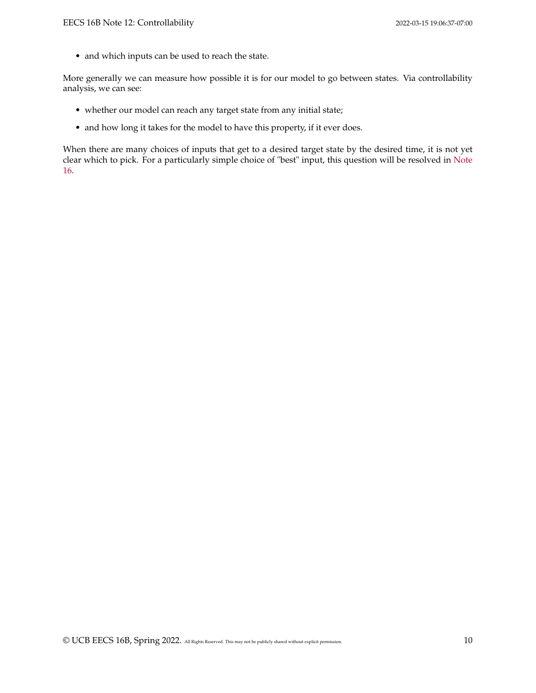• and which inputs can be used to reach the state.

More generally we can measure how possible it is for our model to go between states. Via controllability analysis, we can see:

- whether our model can reach any target state from any initial state;
- and how long it takes for the model to have this property, if it ever does.

When there are many choices of inputs that get to a desired target state by the desired time, it is not yet clear which to pick. For a particularly simple choice of "best" input, this question will be resolved in [Note](https://www.eecs16b.org/notes/sp22/note16.pdf) [16.](https://www.eecs16b.org/notes/sp22/note16.pdf)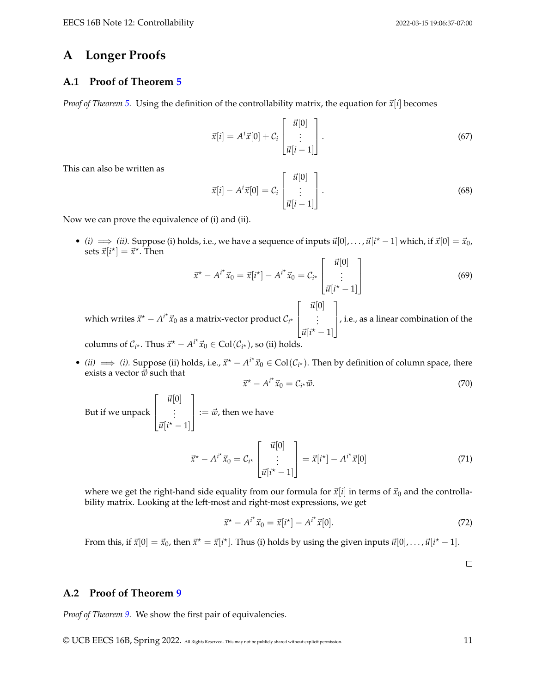### **A Longer Proofs**

### <span id="page-10-0"></span>**A.1 Proof of Theorem [5](#page-1-1)**

*Proof of Theorem [5.](#page-1-1)* Using the definition of the controllability matrix, the equation for  $\vec{x}[i]$  becomes

$$
\vec{x}[i] = A^i \vec{x}[0] + C_i \begin{bmatrix} \vec{u}[0] \\ \vdots \\ \vec{u}[i-1] \end{bmatrix} . \tag{67}
$$

This can also be written as

$$
\vec{x}[i] - A^{i}\vec{x}[0] = C_{i} \begin{bmatrix} \vec{u}[0] \\ \vdots \\ \vec{u}[i-1] \end{bmatrix}.
$$
 (68)

Now we can prove the equivalence of (i) and (ii).

• *(i)*  $\implies$  *(ii)*. Suppose (i) holds, i.e., we have a sequence of inputs  $\vec{u}[0], \ldots, \vec{u}[i^* - 1]$  which, if  $\vec{x}[0] = \vec{x}_0$ , sets  $\vec{x}[i^{\star}] = \vec{x}^{\star}$ . Then

$$
\vec{x}^* - A^{i^*}\vec{x}_0 = \vec{x}[i^*] - A^{i^*}\vec{x}_0 = \mathcal{C}_{i^*} \begin{bmatrix} \vec{u}[0] \\ \vdots \\ \vec{u}[i^* - 1] \end{bmatrix}
$$
(69)

which writes  $\vec{x}^\star - A^{i^\star} \vec{x}_0$  as a matrix-vector product  $\mathcal{C}_{i^\star}$  $\lceil$  $\Big\}$  $\vec{u}[0]$ . . .  $\vec{u}[i^* - 1]$ 1 , i.e., as a linear combination of the

columns of  $C_{i^*}$ . Thus  $\vec{x}^* - A^{i^*} \vec{x}_0 \in \text{Col}(\mathcal{C}_{i^*})$ , so (ii) holds.

• *(ii)*  $\implies$  *(i)*. Suppose (ii) holds, i.e.,  $\vec{x}^* - A^{i*}\vec{x}_0 \in Col(\mathcal{C}_{i^*})$ . Then by definition of column space, there exists a vector  $\vec{w}$  such that ⋆

$$
\vec{x}^* - A^{i^*}\vec{x}_0 = C_{i^*}\vec{w}.\tag{70}
$$

But if we unpack  $\lceil$  $\Big\}$  $\vec{u}[0]$ . . .  $\vec{u}[i^* - 1]$ 1  $\vert \ \text{:}=\vec{w}$ , then we have

$$
\vec{x}^{\star} - A^{i^{\star}} \vec{x}_0 = \mathcal{C}_{i^{\star}} \begin{bmatrix} \vec{u}[0] \\ \vdots \\ \vec{u}[i^{\star} - 1] \end{bmatrix} = \vec{x}[i^{\star}] - A^{i^{\star}} \vec{x}[0] \tag{71}
$$

where we get the right-hand side equality from our formula for  $\vec{x}[i]$  in terms of  $\vec{x}_0$  and the controllability matrix. Looking at the left-most and right-most expressions, we get

$$
\vec{x}^* - A^{i^*} \vec{x}_0 = \vec{x}[i^*] - A^{i^*} \vec{x}[0]. \tag{72}
$$

From this, if  $\vec{x}[0] = \vec{x}_0$ , then  $\vec{x}^* = \vec{x}[i^*]$ . Thus (i) holds by using the given inputs  $\vec{u}[0], \ldots, \vec{u}[i^*-1]$ .

 $\Box$ 

### <span id="page-10-1"></span>**A.2 Proof of Theorem [9](#page-2-0)**

*Proof of Theorem [9.](#page-2-0)* We show the first pair of equivalencies.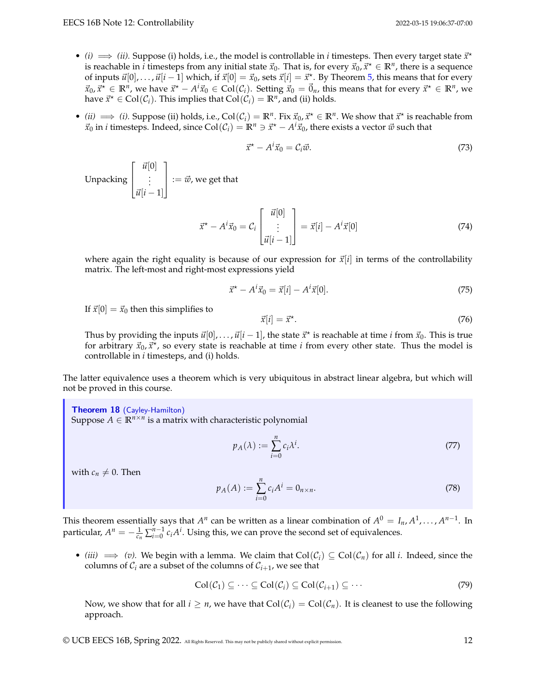- (*i*)  $\implies$  (*ii*). Suppose (*i*) holds, i.e., the model is controllable in *i* timesteps. Then every target state  $\vec{x}^*$ is reachable in  $\hat{i}$  timesteps from any initial state  $\vec{x}_0$ . That is, for every  $\vec{x}_0, \vec{x}^\star \in \R^n$ , there is a sequence of inputs  $\vec{u}[0], \ldots, \vec{u}[i-1]$  which, if  $\vec{x}[0] = \vec{x}_0$ , sets  $\vec{x}[i] = \vec{x}^\star$ . By Theorem [5,](#page-1-1) this means that for every  $\vec{x}_0, \vec{x}^* \in \mathbb{R}^n$ , we have  $\vec{x}^* - A^i \vec{x}_0 \in \text{Col}(\mathcal{C}_i)$ . Setting  $\vec{x}_0 = \vec{0}_n$ , this means that for every  $\vec{x}^* \in \mathbb{R}^n$ , we have  $\vec{x}^* \in \text{Col}(\mathcal{C}_i)$ . This implies that  $\text{Col}(\mathcal{C}_i) = \mathbb{R}^n$ , and (ii) holds.
- *(ii)*  $\implies$  *(i)*. Suppose *(ii)* holds, i.e., Col( $C_i$ ) =  $\mathbb{R}^n$ . Fix  $\vec{x}_0, \vec{x}$ <sup>\*</sup> ∈  $\mathbb{R}^n$ . We show that  $\vec{x}$ <sup>\*</sup> is reachable from  $\vec{x}_0$  in *i* timesteps. Indeed, since Col $(\mathcal{C}_i) = \mathbb{R}^n \ni \vec{x}^* - A^i \vec{x}_0$ , there exists a vector  $\vec{w}$  such that

$$
\vec{x}^* - A^i \vec{x}_0 = C_i \vec{w}.\tag{73}
$$

Unpacking  $\sqrt{ }$  $\Big\}$  $\vec{u}[0]$ . . .  $\vec{u}[i-1]$ 1  $\vert := \vec{w}$ , we get that

$$
\vec{x}^* - A^i \vec{x}_0 = C_i \begin{bmatrix} \vec{u}[0] \\ \vdots \\ \vec{u}[i-1] \end{bmatrix} = \vec{x}[i] - A^i \vec{x}[0] \tag{74}
$$

where again the right equality is because of our expression for  $\vec{x}[i]$  in terms of the controllability matrix. The left-most and right-most expressions yield

$$
\vec{x}^* - A^i \vec{x}_0 = \vec{x}[i] - A^i \vec{x}[0]. \tag{75}
$$

If  $\vec{x}[0] = \vec{x}_0$  then this simplifies to

$$
\vec{x}[i] = \vec{x}^{\star}.\tag{76}
$$

Thus by providing the inputs  $\vec{u}[0], \ldots, \vec{u}[i-1]$ , the state  $\vec{x}^*$  is reachable at time *i* from  $\vec{x}_0$ . This is true for arbitrary  $\vec{x}_0$ ,  $\vec{x}^*$ , so every state is reachable at time *i* from every other state. Thus the model is controllable in *i* timesteps, and (i) holds.

The latter equivalence uses a theorem which is very ubiquitous in abstract linear algebra, but which will not be proved in this course.

<span id="page-11-0"></span>Theorem 18 (Cayley-Hamilton) Suppose  $A \in \mathbb{R}^{n \times n}$  is a matrix with characteristic polynomial

$$
p_A(\lambda) := \sum_{i=0}^n c_i \lambda^i. \tag{77}
$$

with  $c_n \neq 0$ . Then

$$
p_A(A) := \sum_{i=0}^{n} c_i A^i = 0_{n \times n}.
$$
 (78)

This theorem essentially says that  $A^n$  can be written as a linear combination of  $A^0 = I_n, A^1, \ldots, A^{n-1}$ . In particular,  $A^n = -\frac{1}{c_n} \sum_{i=0}^{n-1} c_i A^i$ . Using this, we can prove the second set of equivalences.

• *(iii)*  $\implies$  *(v).* We begin with a lemma. We claim that  $Col(\mathcal{C}_i) \subseteq Col(\mathcal{C}_n)$  for all *i*. Indeed, since the columns of  $\mathcal{C}_i$  are a subset of the columns of  $\mathcal{C}_{i+1}$ , we see that

$$
\mathrm{Col}(\mathcal{C}_1) \subseteq \cdots \subseteq \mathrm{Col}(\mathcal{C}_i) \subseteq \mathrm{Col}(\mathcal{C}_{i+1}) \subseteq \cdots \tag{79}
$$

Now, we show that for all  $i \geq n$ , we have that  $Col(\mathcal{C}_i) = Col(\mathcal{C}_n)$ . It is cleanest to use the following approach.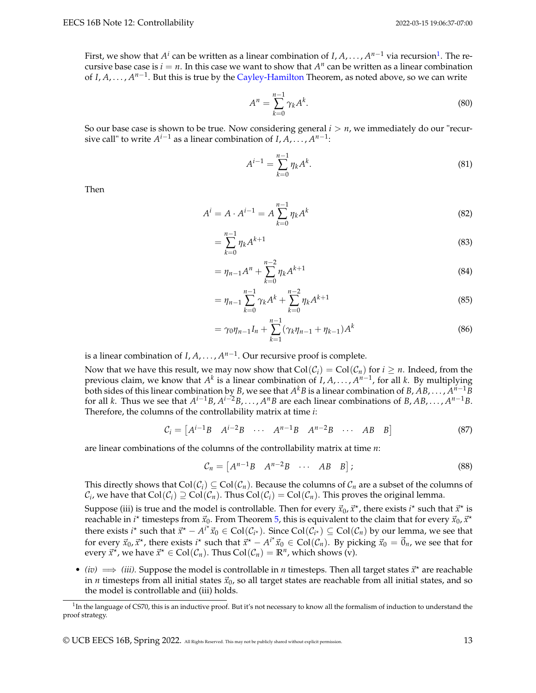First, we show that  $A^i$  can be written as a linear combination of *I*,  $A$ , . . . ,  $A^{n-1}$  $A^{n-1}$  $A^{n-1}$  via recursion<sup>1</sup>. The recursive base case is  $i = n$ . In this case we want to show that  $A^n$  can be written as a linear combination of *I*, *A*, . . . , *A*<sup>*n*−1</sup>. But this is true by the [Cayley-Hamilton](#page-11-0) Theorem, as noted above, so we can write

$$
A^n = \sum_{k=0}^{n-1} \gamma_k A^k.
$$
 (80)

So our base case is shown to be true. Now considering general  $i > n$ , we immediately do our "recursive call" to write  $A^{i-1}$  as a linear combination of  $I, A, \ldots, A^{n-1}$ :

$$
A^{i-1} = \sum_{k=0}^{n-1} \eta_k A^k.
$$
 (81)

Then

$$
A^{i} = A \cdot A^{i-1} = A \sum_{k=0}^{n-1} \eta_k A^k
$$
 (82)

$$
=\sum_{k=0}^{n-1} \eta_k A^{k+1}
$$
\n(83)

$$
= \eta_{n-1} A^n + \sum_{k=0}^{n-2} \eta_k A^{k+1} \tag{84}
$$

$$
= \eta_{n-1} \sum_{k=0}^{n-1} \gamma_k A^k + \sum_{k=0}^{n-2} \eta_k A^{k+1}
$$
\n(85)

$$
= \gamma_0 \eta_{n-1} I_n + \sum_{k=1}^{n-1} (\gamma_k \eta_{n-1} + \eta_{k-1}) A^k
$$
 (86)

is a linear combination of *I*, *A*, . . . , *A n*−1 . Our recursive proof is complete.

Now that we have this result, we may now show that  $Col(C_i) = Col(C_n)$  for  $i \geq n$ . Indeed, from the previous claim, we know that  $A^k$  is a linear combination of *I*, *A*, . . . ,  $A^{n-1}$ , for all *k*. By multiplying both sides of this linear combination by *B*, we see that  $A^kB$  is a linear combination of  $B, AB, \ldots, A^{n-1}\bar{B}$ for all *k*. Thus we see that  $A^{i-1}B$ ,  $A^{i-2}B$ , . . . ,  $A^nB$  are each linear combinations of  $B$ ,  $AB$ , . . . ,  $A^{n-1}B$ . Therefore, the columns of the controllability matrix at time *i*:

$$
\mathcal{C}_i = \begin{bmatrix} A^{i-1}B & A^{i-2}B & \cdots & A^{n-1}B & A^{n-2}B & \cdots & AB & B \end{bmatrix} \tag{87}
$$

are linear combinations of the columns of the controllability matrix at time *n*:

$$
\mathcal{C}_n = \begin{bmatrix} A^{n-1}B & A^{n-2}B & \cdots & AB & B \end{bmatrix};\tag{88}
$$

This directly shows that  $Col(\mathcal{C}_i) \subseteq Col(\mathcal{C}_n)$ . Because the columns of  $\mathcal{C}_n$  are a subset of the columns of  $C_i$ , we have that  $Col(C_i) \supseteq Col(C_n)$ . Thus  $Col(C_i) = Col(C_n)$ . This proves the original lemma.

Suppose (iii) is true and the model is controllable. Then for every  $\vec{x}_0$ ,  $\vec{x}^\star$ , there exists  $i^\star$  such that  $\vec{x}^\star$  is reachable in *i*<sup>\*</sup> timesteps from  $\vec{x}_0$ . From Theorem [5,](#page-1-1) this is equivalent to the claim that for every  $\vec{x}_0$ ,  $\vec{x}$ <sup>\*</sup> there exists *i*<sup>\*</sup> such that  $\vec{x}^* - A^{i^*} \vec{x}_0 \in \text{Col}(\mathcal{C}_{i^*})$ . Since  $\text{Col}(\mathcal{C}_{i^*}) \subseteq \text{Col}(\mathcal{C}_n)$  by our lemma, we see that for every  $\vec{x}_0$ ,  $\vec{x}$ <sup>\*</sup>, there exists *i*<sup>\*</sup> such that  $\vec{x}$ <sup>\*</sup>  $-A$ <sup>*i*\*</sup> $\vec{x}_0 \in \text{Col}(\mathcal{C}_n)$ . By picking  $\vec{x}_0 = \vec{0}_n$ , we see that for every  $\vec{x}^{\star}$ , we have  $\vec{x}^{\star} \in \text{Col}(\mathcal{C}_n)$ . Thus  $\text{Col}(\mathcal{C}_n) = \mathbb{R}^n$ , which shows (v).

• *(iv)*  $\implies$  *(iii).* Suppose the model is controllable in *n* timesteps. Then all target states  $\vec{x}^*$  are reachable in *n* timesteps from all initial states  $\vec{x}_0$ , so all target states are reachable from all initial states, and so the model is controllable and (iii) holds.

<span id="page-12-0"></span><sup>&</sup>lt;sup>1</sup>In the language of CS70, this is an inductive proof. But it's not necessary to know all the formalism of induction to understand the proof strategy.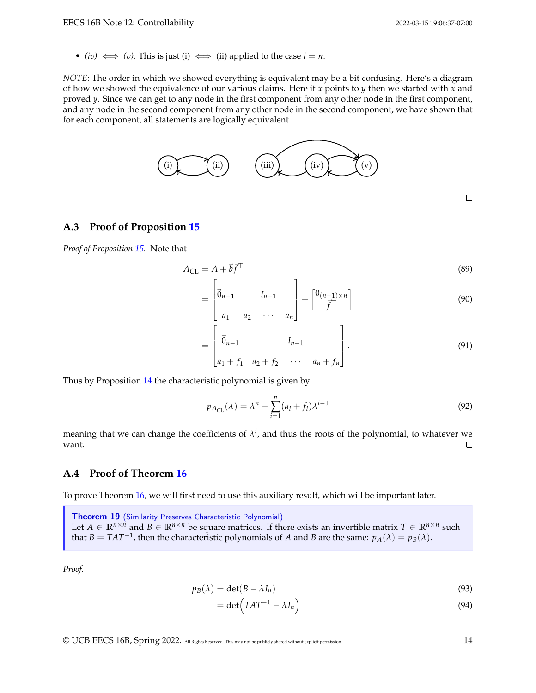$\Box$ 

• *(iv)*  $\iff$  *(v)*. This is just (i)  $\iff$  (ii) applied to the case  $i = n$ .

*NOTE*: The order in which we showed everything is equivalent may be a bit confusing. Here's a diagram of how we showed the equivalence of our various claims. Here if *x* points to *y* then we started with *x* and proved *y*. Since we can get to any node in the first component from any other node in the first component, and any node in the second component from any other node in the second component, we have shown that for each component, all statements are logically equivalent.



E

#### <span id="page-13-0"></span>**A.3 Proof of Proposition [15](#page-4-0)**

*Proof of Proposition [15.](#page-4-0)* Note that

$$
A_{\rm CL} = A + \vec{b} \vec{f}^{\top} \tag{89}
$$

$$
= \begin{bmatrix} \vec{0}_{n-1} & I_{n-1} \\ a_1 & a_2 & \cdots & a_n \end{bmatrix} + \begin{bmatrix} 0_{(n-1)\times n} \\ \vec{f}^{\top} \end{bmatrix}
$$
(90)

$$
= \begin{bmatrix} \vec{0}_{n-1} & I_{n-1} \\ a_1 + f_1 & a_2 + f_2 & \cdots & a_n + f_n \end{bmatrix} . \tag{91}
$$

Thus by Proposition [14](#page-4-2) the characteristic polynomial is given by

г

$$
p_{A_{\text{CL}}}(\lambda) = \lambda^n - \sum_{i=1}^n (a_i + f_i)\lambda^{i-1}
$$
\n(92)

meaning that we can change the coefficients of  $\lambda^i$ , and thus the roots of the polynomial, to whatever we want.  $\Box$ 

### <span id="page-13-1"></span>**A.4 Proof of Theorem [16](#page-4-1)**

To prove Theorem [16,](#page-4-1) we will first need to use this auxiliary result, which will be important later.

Theorem 19 (Similarity Preserves Characteristic Polynomial) Let  $A \in \mathbb{R}^{n \times n}$  and  $B \in \mathbb{R}^{n \times n}$  be square matrices. If there exists an invertible matrix  $T \in \mathbb{R}^{n \times n}$  such that  $B = TAT^{-1}$ , then the characteristic polynomials of *A* and *B* are the same:  $p_A(\lambda) = p_B(\lambda)$ .

*Proof.*

$$
p_B(\lambda) = \det(B - \lambda I_n) \tag{93}
$$

$$
= \det \left( TAT^{-1} - \lambda I_n \right) \tag{94}
$$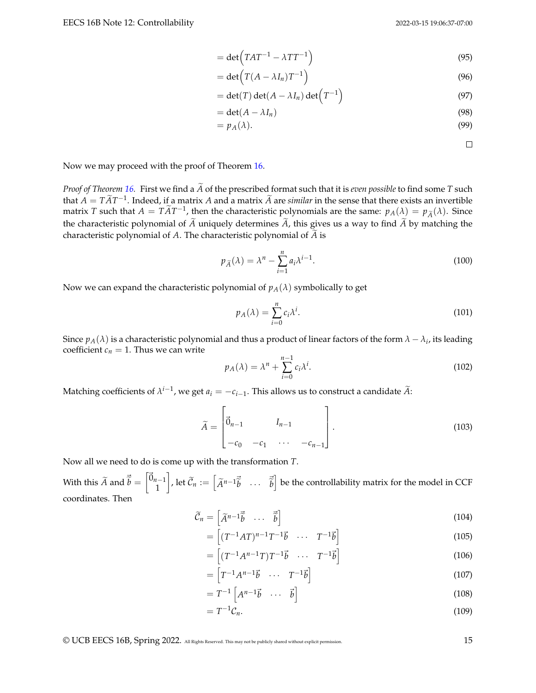$$
= \det \left( TAT^{-1} - \lambda TT^{-1} \right) \tag{95}
$$

$$
= \det \left( T(A - \lambda I_n) T^{-1} \right) \tag{96}
$$

$$
= \det(T) \det(A - \lambda I_n) \det\left(T^{-1}\right) \tag{97}
$$

$$
= \det(A - \lambda I_n) \tag{98}
$$

$$
=p_A(\lambda). \tag{99}
$$

 $\Box$ 

Now we may proceed with the proof of Theorem [16.](#page-4-1)

*Proof of Theorem* [16.](#page-4-1) First we find a  $\widetilde{A}$  of the prescribed format such that it is *even possible* to find some *T* such that *A* =  $T\widetilde{A}T^{-1}$ . Indeed, if a matrix *A* and a matrix  $\widetilde{A}$  are *similar* in the sense that there exists an invertible matrix *T* such that *A* =  $T\widetilde{A}T^{-1}$ , then the characteristic polynomials are the same:  $p_A(\lambda) = p_{\widetilde{A}}(\lambda)$ . Since the characteristic polynomial of  $\tilde{A}$  uniquely determines  $\tilde{A}$ , this gives us a way to find  $\tilde{A}$  by matching the characteristic polynomial of  $A$ . The characteristic polynomial of  $\widetilde{A}$  is

$$
p_{\widetilde{A}}(\lambda) = \lambda^n - \sum_{i=1}^n a_i \lambda^{i-1}.
$$
\n(100)

Now we can expand the characteristic polynomial of  $p_A(\lambda)$  symbolically to get

$$
p_A(\lambda) = \sum_{i=0}^n c_i \lambda^i.
$$
\n(101)

Since  $p_A(\lambda)$  is a characteristic polynomial and thus a product of linear factors of the form  $\lambda-\lambda_i$ , its leading coefficient  $c_n = 1$ . Thus we can write

$$
p_A(\lambda) = \lambda^n + \sum_{i=0}^{n-1} c_i \lambda^i.
$$
 (102)

Matching coefficients of  $\lambda^{i-1}$ , we get  $a_i = -c_{i-1}$ . This allows us to construct a candidate  $\widetilde{A}$ :

$$
\widetilde{A} = \begin{bmatrix} \vec{0}_{n-1} & I_{n-1} \\ -c_0 & -c_1 & \cdots & -c_{n-1} \end{bmatrix}.
$$
 (103)

Now all we need to do is come up with the transformation *T*.

With this  $\widetilde{A}$  and  $\vec{\widetilde{b}} = \begin{bmatrix} \vec{0}_{n-1} \\ 1 \end{bmatrix}$ 1  $\rho$ , let  $\widetilde{\mathcal{C}}_n := \begin{bmatrix} \widetilde{A}^{n-1} \vec{b} & \cdots & \vec{b} \end{bmatrix}$  be the controllability matrix for the model in CCF coordinates. Then

$$
\widetilde{\mathcal{C}}_n = \begin{bmatrix} \widetilde{A}^{n-1} \vec{\widetilde{b}} & \cdots & \vec{\widetilde{b}} \end{bmatrix} \tag{104}
$$

$$
= \left[ (T^{-1}AT)^{n-1}T^{-1}\vec{b} \quad \cdots \quad T^{-1}\vec{b} \right] \tag{105}
$$

$$
= \left[ \left( T^{-1} A^{n-1} T \right) T^{-1} \vec{b} \quad \cdots \quad T^{-1} \vec{b} \right] \tag{106}
$$

$$
= \begin{bmatrix} T^{-1}A^{n-1}\vec{b} & \cdots & T^{-1}\vec{b} \end{bmatrix} \tag{107}
$$

$$
= T^{-1} \begin{bmatrix} A^{n-1} \vec{b} & \cdots & \vec{b} \end{bmatrix}
$$
 (108)

$$
=T^{-1}\mathcal{C}_n.\tag{109}
$$